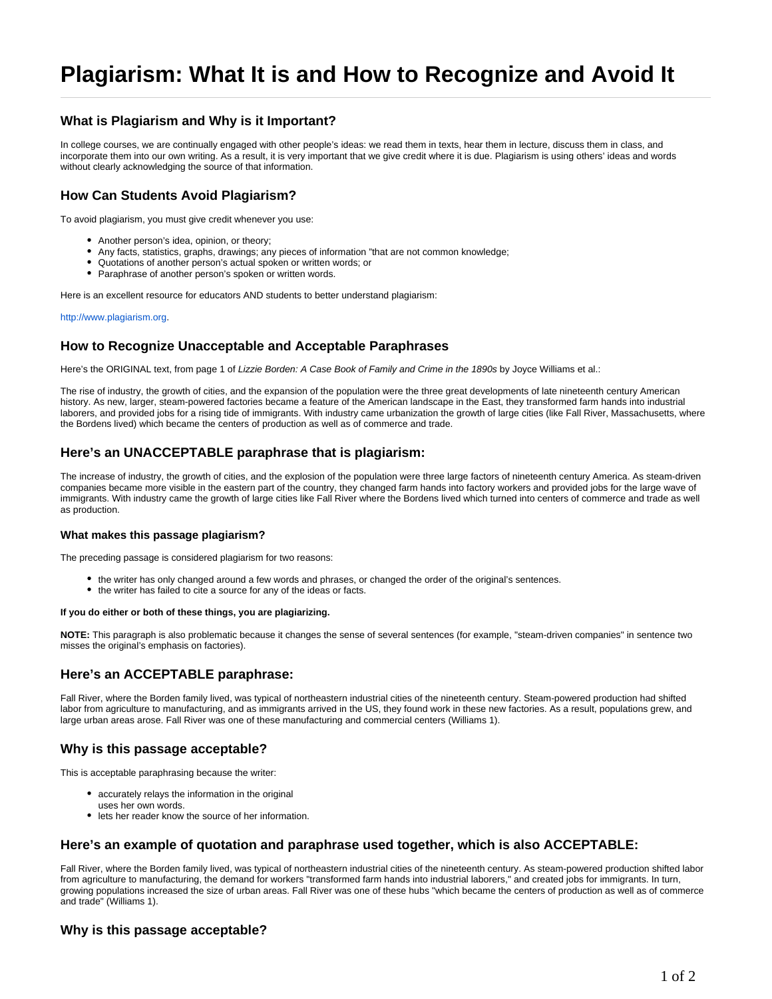# **Plagiarism: What It is and How to Recognize and Avoid It**

## **What is Plagiarism and Why is it Important?**

In college courses, we are continually engaged with other people's ideas: we read them in texts, hear them in lecture, discuss them in class, and incorporate them into our own writing. As a result, it is very important that we give credit where it is due. Plagiarism is using others' ideas and words without clearly acknowledging the source of that information.

# **How Can Students Avoid Plagiarism?**

To avoid plagiarism, you must give credit whenever you use:

- Another person's idea, opinion, or theory:
- Any facts, statistics, graphs, drawings; any pieces of information "that are not common knowledge;
- Quotations of another person's actual spoken or written words; or
- Paraphrase of another person's spoken or written words.

Here is an excellent resource for educators AND students to better understand plagiarism:

#### [http://www.plagiarism.org](http://www.plagiarism.org/).

#### **How to Recognize Unacceptable and Acceptable Paraphrases**

Here's the ORIGINAL text, from page 1 of Lizzie Borden: A Case Book of Family and Crime in the 1890s by Joyce Williams et al.:

The rise of industry, the growth of cities, and the expansion of the population were the three great developments of late nineteenth century American history. As new, larger, steam-powered factories became a feature of the American landscape in the East, they transformed farm hands into industrial laborers, and provided jobs for a rising tide of immigrants. With industry came urbanization the growth of large cities (like Fall River, Massachusetts, where the Bordens lived) which became the centers of production as well as of commerce and trade.

## **Here's an UNACCEPTABLE paraphrase that is plagiarism:**

The increase of industry, the growth of cities, and the explosion of the population were three large factors of nineteenth century America. As steam-driven companies became more visible in the eastern part of the country, they changed farm hands into factory workers and provided jobs for the large wave of immigrants. With industry came the growth of large cities like Fall River where the Bordens lived which turned into centers of commerce and trade as well as production.

#### **What makes this passage plagiarism?**

The preceding passage is considered plagiarism for two reasons:

- the writer has only changed around a few words and phrases, or changed the order of the original's sentences.
- the writer has failed to cite a source for any of the ideas or facts.

#### **If you do either or both of these things, you are plagiarizing.**

**NOTE:** This paragraph is also problematic because it changes the sense of several sentences (for example, "steam-driven companies" in sentence two misses the original's emphasis on factories).

### **Here's an ACCEPTABLE paraphrase:**

Fall River, where the Borden family lived, was typical of northeastern industrial cities of the nineteenth century. Steam-powered production had shifted labor from agriculture to manufacturing, and as immigrants arrived in the US, they found work in these new factories. As a result, populations grew, and large urban areas arose. Fall River was one of these manufacturing and commercial centers (Williams 1).

### **Why is this passage acceptable?**

This is acceptable paraphrasing because the writer:

- accurately relays the information in the original
- uses her own words.
- lets her reader know the source of her information.

#### **Here's an example of quotation and paraphrase used together, which is also ACCEPTABLE:**

Fall River, where the Borden family lived, was typical of northeastern industrial cities of the nineteenth century. As steam-powered production shifted labor from agriculture to manufacturing, the demand for workers "transformed farm hands into industrial laborers," and created jobs for immigrants. In turn, growing populations increased the size of urban areas. Fall River was one of these hubs "which became the centers of production as well as of commerce and trade" (Williams 1).

### **Why is this passage acceptable?**